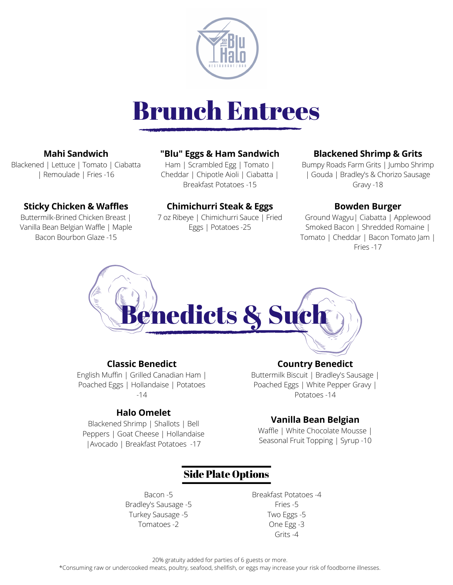

# Brunch Entrees

# **Mahi Sandwich**

Blackened | Lettuce | Tomato | Ciabatta | Remoulade | Fries -16

# **Sticky Chicken & Waffles**

Buttermilk-Brined Chicken Breast | Vanilla Bean Belgian Waffle | Maple Bacon Bourbon Glaze -15

# **"Blu" Eggs & Ham Sandwich**

Ham | Scrambled Egg | Tomato | Cheddar | Chipotle Aioli | Ciabatta | Breakfast Potatoes -15

# **Chimichurri Steak & Eggs**

7 oz Ribeye | Chimichurri Sauce | Fried Eggs | Potatoes -25

# **Blackened Shrimp & Grits**

Bumpy Roads Farm Grits | Jumbo Shrimp | Gouda | Bradley's & Chorizo Sausage Gravy -18

#### **Bowden Burger**

Ground Wagyu| Ciabatta | Applewood Smoked Bacon | Shredded Romaine | Tomato | Cheddar | Bacon Tomato Jam | Fries -17



#### **Classic Benedict**

English Muffin | Grilled Canadian Ham | Poached Eggs | Hollandaise | Potatoes  $-14$ 

#### **Halo Omelet**

Blackened Shrimp | Shallots | Bell Peppers | Goat Cheese | Hollandaise |Avocado | Breakfast Potatoes -17

#### **Country Benedict**

Buttermilk Biscuit | Bradley's Sausage | Poached Eggs | White Pepper Gravy | Potatoes -14

#### **Vanilla Bean Belgian**

Waffle | White Chocolate Mousse | Seasonal Fruit Topping | Syrup -10

# Side Plate Options

Bacon -5 Bradley's Sausage -5 Turkey Sausage -5 Tomatoes -2

Breakfast Potatoes -4 Fries -5 Two Eggs -5 One Egg -3 Grits -4

20% gratuity added for parties of 6 guests or more.

\*Consuming raw or undercooked meats, poultry, seafood, shellfish, or eggs may increase your risk of foodborne illnesses.